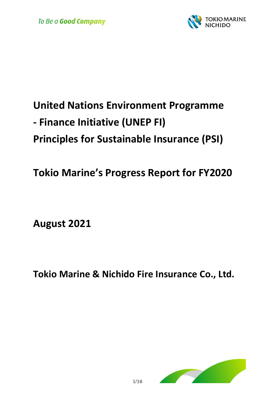

# **United Nations Environment Programme - Finance Initiative (UNEP FI) Principles for Sustainable Insurance (PSI)**

**Tokio Marine's Progress Report for FY2020**

**August 2021**

**Tokio Marine & Nichido Fire Insurance Co., Ltd.**

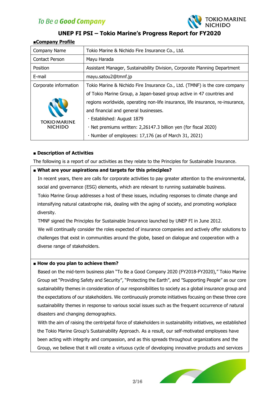

### **UNEP FI PSI – Tokio Marine's Progress Report for FY2020**

#### **■Company Profile**

| Company Name                          | Tokio Marine & Nichido Fire Insurance Co., Ltd.                                |
|---------------------------------------|--------------------------------------------------------------------------------|
| Contact Person                        | Mayu Harada                                                                    |
| Position                              | Assistant Manager, Sustainability Division, Corporate Planning Department      |
| E-mail                                | mayu.satou2@tmnf.jp                                                            |
| Corporate information                 | Tokio Marine & Nichido Fire Insurance Co., Ltd. (TMNF) is the core company     |
|                                       | of Tokio Marine Group, a Japan-based group active in 47 countries and          |
| <b>TOKIO MARINE</b><br><b>NICHIDO</b> | regions worldwide, operating non-life insurance, life insurance, re-insurance, |
|                                       | and financial and general businesses.                                          |
|                                       | · Established: August 1879                                                     |
|                                       | · Net premiums written: 2,26147.3 billion yen (for fiscal 2020)                |
|                                       | · Number of employees: 17,176 (as of March 31, 2021)                           |

#### **■ Description of Activities**

The following is a report of our activities as they relate to the Principles for Sustainable Insurance.

#### **■ What are your aspirations and targets for this principles?**

In recent years, there are calls for corporate activities to pay greater attention to the environmental, social and governance (ESG) elements, which are relevant to running sustainable business. Tokio Marine Group addresses a host of these issues, including responses to climate change and intensifying natural catastrophe risk, dealing with the aging of society, and promoting workplace diversity.

TMNF signed the Principles for Sustainable Insurance launched by UNEP FI in June 2012. We will continually consider the roles expected of insurance companies and actively offer solutions to challenges that exist in communities around the globe, based on dialogue and cooperation with a diverse range of stakeholders.

#### **■ How do you plan to achieve them?**

Based on the mid-term business plan "To Be a Good Company 2020 (FY2018-FY2020)," Tokio Marine Group set "Providing Safety and Security", "Protecting the Earth", and "Supporting People" as our core sustainability themes in consideration of our responsibilities to society as a global insurance group and the expectations of our stakeholders. We continuously promote initiatives focusing on these three core sustainability themes in response to various social issues such as the frequent occurrence of natural disasters and changing demographics.

With the aim of raising the centripetal force of stakeholders in sustainability initiatives, we established the Tokio Marine Group's Sustainability Approach. As a result, our self-motivated employees have been acting with integrity and compassion, and as this spreads throughout organizations and the Group, we believe that it will create a virtuous cycle of developing innovative products and services

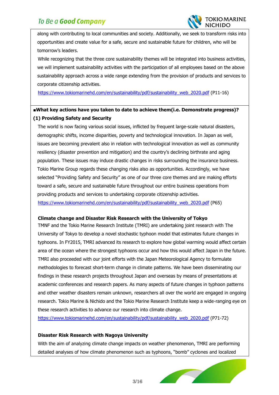

along with contributing to local communities and society. Additionally, we seek to transform risks into opportunities and create value for a safe, secure and sustainable future for children, who will be tomorrow's leaders.

 $\overline{a}$ 

While recognizing that the three core sustainability themes will be integrated into business activities, we will implement sustainability activities with the participation of all employees based on the above sustainability approach across a wide range extending from the provision of products and services to corporate citizenship activities.

[https://www.tokiomarinehd.com/en/sustainability/pdf/sustainability\\_web\\_2020.pdf](https://www.tokiomarinehd.com/en/sustainability/pdf/sustainability_web_2020.pdf) (P11-16)

### **■What key actions have you taken to date to achieve them(i.e. Demonstrate progress)? (1) Providing Safety and Security**

The world is now facing various social issues, inflicted by frequent large-scale natural disasters, demographic shifts, income disparities, poverty and technological innovation. In Japan as well, issues are becoming prevalent also in relation with technological innovation as well as community resiliency (disaster prevention and mitigation) and the country's declining birthrate and aging population. These issues may induce drastic changes in risks surrounding the insurance business. Tokio Marine Group regards these changing risks also as opportunities. Accordingly, we have selected "Providing Safety and Security" as one of our three core themes and are making efforts toward a safe, secure and sustainable future throughout our entire business operations from providing products and services to undertaking corporate citizenship activities. [https://www.tokiomarinehd.com/en/sustainability/pdf/sustainability\\_web\\_2020.pdf](https://www.tokiomarinehd.com/en/sustainability/pdf/sustainability_web_2020.pdf) (P65)

#### **Climate change and Disaster Risk Research with the University of Tokyo**

TMNF and the Tokio Marine Research Institute (TMRI) are undertaking joint research with The University of Tokyo to develop a novel stochastic typhoon model that estimates future changes in typhoons. In FY2015, TMRI advanced its research to explore how global warming would affect certain area of the ocean where the strongest typhoons occur and how this would affect Japan in the future. TMRI also proceeded with our joint efforts with the Japan Meteorological Agency to formulate methodologies to forecast short-term change in climate patterns. We have been disseminating our findings in these research projects throughout Japan and overseas by means of presentations at academic conferences and research papers. As many aspects of future changes in typhoon patterns and other weather disasters remain unknown, researchers all over the world are engaged in ongoing research. Tokio Marine & Nichido and the Tokio Marine Research Institute keep a wide-ranging eye on these research activities to advance our research into climate change.

[https://www.tokiomarinehd.com/en/sustainability/pdf/sustainability\\_web\\_2020.pdf](https://www.tokiomarinehd.com/en/sustainability/pdf/sustainability_web_2020.pdf) (P71-72)

#### **Disaster Risk Research with Nagoya University**

With the aim of analyzing climate change impacts on weather phenomenon, TMRI are performing detailed analyses of how climate phenomenon such as typhoons, "bomb" cyclones and localized

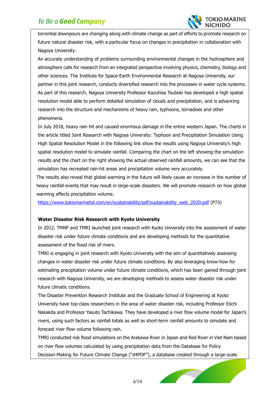

torrential downpours are changing along with climate change as part of efforts to promote research on future natural disaster risk, with a particular focus on changes in precipitation in collaboration with Nagoya University.

 $\overline{a}$ 

An accurate understanding of problems surrounding environmental changes in the hydrosphere and atmosphere calls for research from an integrated perspective involving physics, chemistry, biology and other sciences. The Institute for Space-Earth Environmental Research at Nagoya University, our partner in this joint research, conducts diversified research into the processes in water cycle systems. As part of this research, Nagoya University Professor Kazuhisa Tsuboki has developed a high spatial resolution model able to perform detailed simulation of clouds and precipitation, and is advancing research into the structure and mechanisms of heavy rain, typhoons, tornadoes and other phenomena.

In July 2018, heavy rain hit and caused enormous damage in the entire western Japan. The charts in the article titled Joint Research with Nagoya University: Typhoon and Precipitation Simulation Using High Spatial Resolution Model in the following link show the results using Nagoya University's high spatial resolution model to simulate rainfall. Comparing the chart on the left showing the simulation results and the chart on the right showing the actual observed rainfall amounts, we can see that the simulation has recreated rain-hit areas and precipitation volume very accurately.

The results also reveal that global warming in the future will likely cause an increase in the number of heavy rainfall events that may result in large-scale disasters. We will promote research on how global warming affects precipitation volume.

[https://www.tokiomarinehd.com/en/sustainability/pdf/sustainability\\_web\\_2020.pdf](https://www.tokiomarinehd.com/en/sustainability/pdf/sustainability_web_2020.pdf) (P73)

#### **Water Disaster Risk Research with Kyoto University**

In 2012, TMNF and TMRI launched joint research with Kyoto University into the assessment of water disaster risk under future climate conditions and are developing methods for the quantitative assessment of the flood risk of rivers.

TMRI is engaging in joint research with Kyoto University with the aim of quantitatively assessing changes in water disaster risk under future climate conditions. By also leveraging know-how for estimating precipitation volume under future climate conditions, which has been gained through joint research with Nagoya University, we are developing methods to assess water disaster risk under future climatic conditions.

The Disaster Prevention Research Institute and the Graduate School of Engineering at Kyoto University have top-class researchers in the area of water disaster risk, including Professor Eiichi Nakakita and Professor Yasuto Tachikawa. They have developed a river flow volume model for Japan's rivers, using such factors as rainfall totals as well as short-term rainfall amounts to simulate and forecast river flow volume following rain.

TMRI conducted risk flood simulations on the Arakawa River in Japan and Red River in Viet Nam based on river flow volumes calculated by using precipitation data from the Database for Policy Decision-Making for Future Climate Change ("d4PDF"), a database created through a large-scale

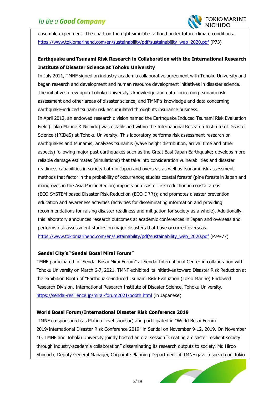

ensemble experiment. The chart on the right simulates a flood under future climate conditions. [https://www.tokiomarinehd.com/en/sustainability/pdf/sustainability\\_web\\_2020.pdf](https://www.tokiomarinehd.com/en/sustainability/pdf/sustainability_web_2020.pdf) (P73)

 $\overline{a}$ 

### **Earthquake and Tsunami Risk Research in Collaboration with the International Research Institute of Disaster Science at Tohoku University**

In July 2011, TMNF signed an industry-academia collaborative agreement with Tohoku University and began research and development and human resource development initiatives in disaster science. The initiatives drew upon Tohoku University's knowledge and data concerning tsunami risk assessment and other areas of disaster science, and TMNF's knowledge and data concerning earthquake-induced tsunami risk accumulated through its insurance business.

In April 2012, an endowed research division named the Earthquake Induced Tsunami Risk Evaluation Field (Tokio Marine & Nichido) was established within the International Research Institute of Disaster Science (IRIDeS) at Tohoku University. This laboratory performs risk assessment research on earthquakes and tsunamis; analyzes tsunamis (wave height distribution, arrival time and other aspects) following major past earthquakes such as the Great East Japan Earthquake; develops more reliable damage estimates (simulations) that take into consideration vulnerabilities and disaster readiness capabilities in society both in Japan and overseas as well as tsunami risk assessment methods that factor in the probability of occurrence; studies coastal forests' (pine forests in Japan and mangroves in the Asia Pacific Region) impacts on disaster risk reduction in coastal areas (ECO-SYSTEM based Disaster Risk Reduction (ECO-DRR)); and promotes disaster prevention education and awareness activities (activities for disseminating information and providing recommendations for raising disaster readiness and mitigation for society as a whole). Additionally, this laboratory announces research outcomes at academic conferences in Japan and overseas and performs risk assessment studies on major disasters that have occurred overseas. [https://www.tokiomarinehd.com/en/sustainability/pdf/sustainability\\_web\\_2020.pdf](https://www.tokiomarinehd.com/en/sustainability/pdf/sustainability_web_2020.pdf) (P74-77)

#### **Sendai City's "Sendai Bosai Mirai Forum"**

TMNF participated in "Sendai Bosai Mirai Forum" at Sendai International Center in collaboration with Tohoku University on March 6-7, 2021. TMNF exhibited its initiatives toward Disaster Risk Reduction at the exhibition Booth of "Earthquake-induced Tsunami Risk Evaluation (Tokio Marine) Endowed Research Division, International Research Institute of Disaster Science, Tohoku University. <https://sendai-resilience.jp/mirai-forum2021/booth.html> (in Japanese)

#### **World Bosai Forum/International Disaster Risk Conference 2019**

TMNF co-sponsored (as Platina Level sponsor) and participated in "World Bosai Forum 2019/International Disaster Risk Conference 2019" in Sendai on November 9-12, 2019. On November 10, TMNF and Tohoku University jointly hosted an oral session "Creating a disaster resilient society through industry-academia collaboration" disseminating its research outputs to society. Mr. Hiroo Shimada, Deputy General Manager, Corporate Planning Department of TMNF gave a speech on Tokio

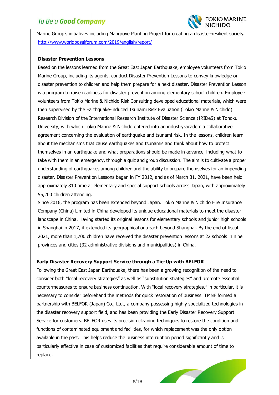

Marine Group's initiatives including Mangrove Planting Project for creating a disaster-resilient society. <http://www.worldbosaiforum.com/2019/english/report/>

 $\overline{a}$ 

#### **Disaster Prevention Lessons**

Based on the lessons learned from the Great East Japan Earthquake, employee volunteers from Tokio Marine Group, including its agents, conduct Disaster Prevention Lessons to convey knowledge on disaster prevention to children and help them prepare for a next disaster. Disaster Prevention Lesson is a program to raise readiness for disaster prevention among elementary school children. Employee volunteers from Tokio Marine & Nichido Risk Consulting developed educational materials, which were then supervised by the Earthquake-induced Tsunami Risk Evaluation (Tokio Marine & Nichido) Research Division of the International Research Institute of Disaster Science (IRIDeS) at Tohoku University, with which Tokio Marine & Nichido entered into an industry-academia collaborative agreement concerning the evaluation of earthquake and tsunami risk. In the lessons, children learn about the mechanisms that cause earthquakes and tsunamis and think about how to protect themselves in an earthquake and what preparations should be made in advance, including what to take with them in an emergency, through a quiz and group discussion. The aim is to cultivate a proper understanding of earthquakes among children and the ability to prepare themselves for an impending disaster. Disaster Prevention Lessons began in FY 2012, and as of March 31, 2021, have been held approximately 810 time at elementary and special support schools across Japan, with approximately 55,200 children attending.

Since 2016, the program has been extended beyond Japan. Tokio Marine & Nichido Fire Insurance Company (China) Limited in China developed its unique educational materials to meet the disaster landscape in China. Having started its original lessons for elementary schools and junior high schools in Shanghai in 2017, it extended its geographical outreach beyond Shanghai. By the end of fiscal 2021, more than 1,700 children have received the disaster prevention lessons at 22 schools in nine provinces and cities (32 administrative divisions and municipalities) in China.

#### **Early Disaster Recovery Support Service through a Tie-Up with BELFOR**

Following the Great East Japan Earthquake, there has been a growing recognition of the need to consider both "local recovery strategies" as well as "substitution strategies" and promote essential countermeasures to ensure business continuation. With "local recovery strategies," in particular, it is necessary to consider beforehand the methods for quick restoration of business. TMNF formed a partnership with BELFOR (Japan) Co., Ltd., a company possessing highly specialized technologies in the disaster recovery support field, and has been providing the Early Disaster Recovery Support Service for customers. BELFOR uses its precision cleaning techniques to restore the condition and functions of contaminated equipment and facilities, for which replacement was the only option available in the past. This helps reduce the business interruption period significantly and is particularly effective in case of customized facilities that require considerable amount of time to replace.

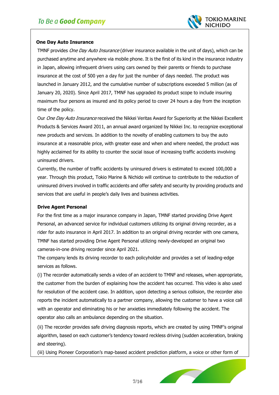

#### **One Day Auto Insurance**

TMNF provides One Day Auto Insurance (driver insurance available in the unit of days), which can be purchased anytime and anywhere via mobile phone. It is the first of its kind in the insurance industry in Japan, allowing infrequent drivers using cars owned by their parents or friends to purchase insurance at the cost of 500 yen a day for just the number of days needed. The product was launched in January 2012, and the cumulative number of subscriptions exceeded 5 million (as of January 20, 2020). Since April 2017, TMNF has upgraded its product scope to include insuring maximum four persons as insured and its policy period to cover 24 hours a day from the inception time of the policy.

 $\overline{a}$ 

Our One Day Auto Insurance received the Nikkei Veritas Award for Superiority at the Nikkei Excellent Products & Services Award 2011, an annual award organized by Nikkei Inc. to recognize exceptional new products and services. In addition to the novelty of enabling customers to buy the auto insurance at a reasonable price, with greater ease and when and where needed, the product was highly acclaimed for its ability to counter the social issue of increasing traffic accidents involving uninsured drivers.

Currently, the number of traffic accidents by uninsured drivers is estimated to exceed 100,000 a year. Through this product, Tokio Marine & Nichido will continue to contribute to the reduction of uninsured drivers involved in traffic accidents and offer safety and security by providing products and services that are useful in people's daily lives and business activities.

#### **Drive Agent Personal**

For the first time as a major insurance company in Japan, TMNF started providing Drive Agent Personal, an advanced service for individual customers utilizing its original driving recorder, as a rider for auto insurance in April 2017. In addition to an original driving recorder with one camera, TMNF has started providing Drive Agent Personal utilizing newly-developed an original two cameras-in-one driving recorder since April 2021.

The company lends its driving recorder to each policyholder and provides a set of leading-edge services as follows.

(i) The recorder automatically sends a video of an accident to TMNF and releases, when appropriate, the customer from the burden of explaining how the accident has occurred. This video is also used for resolution of the accident case. In addition, upon detecting a serious collision, the recorder also reports the incident automatically to a partner company, allowing the customer to have a voice call with an operator and eliminating his or her anxieties immediately following the accident. The operator also calls an ambulance depending on the situation.

(ii) The recorder provides safe driving diagnosis reports, which are created by using TMNF's original algorithm, based on each customer's tendency toward reckless driving (sudden acceleration, braking and steering).

(iii) Using Pioneer Corporation's map-based accident prediction platform, a voice or other form of

7/16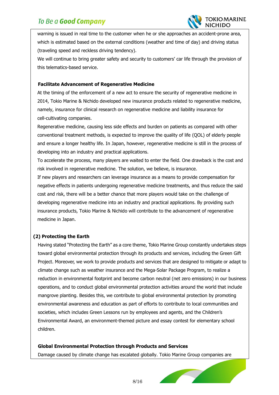

warning is issued in real time to the customer when he or she approaches an accident-prone area, which is estimated based on the external conditions (weather and time of day) and driving status (traveling speed and reckless driving tendency).

We will continue to bring greater safety and security to customers' car life through the provision of this telematics-based service.

#### **Facilitate Advancement of Regenerative Medicine**

 $\overline{a}$ 

At the timing of the enforcement of a new act to ensure the security of regenerative medicine in 2014, Tokio Marine & Nichido developed new insurance products related to regenerative medicine, namely, insurance for clinical research on regenerative medicine and liability insurance for cell-cultivating companies.

Regenerative medicine, causing less side effects and burden on patients as compared with other conventional treatment methods, is expected to improve the quality of life (QOL) of elderly people and ensure a longer healthy life. In Japan, however, regenerative medicine is still in the process of developing into an industry and practical applications.

To accelerate the process, many players are waited to enter the field. One drawback is the cost and risk involved in regenerative medicine. The solution, we believe, is insurance.

If new players and researchers can leverage insurance as a means to provide compensation for negative effects in patients undergoing regenerative medicine treatments, and thus reduce the said cost and risk, there will be a better chance that more players would take on the challenge of developing regenerative medicine into an industry and practical applications. By providing such insurance products, Tokio Marine & Nichido will contribute to the advancement of regenerative medicine in Japan.

#### **(2) Protecting the Earth**

Having stated "Protecting the Earth" as a core theme, Tokio Marine Group constantly undertakes steps toward global environmental protection through its products and services, including the Green Gift Project. Moreover, we work to provide products and services that are designed to mitigate or adapt to climate change such as weather insurance and the Mega-Solar Package Program, to realize a reduction in environmental footprint and become carbon neutral (net zero emissions) in our business operations, and to conduct global environmental protection activities around the world that include mangrove planting. Besides this, we contribute to global environmental protection by promoting environmental awareness and education as part of efforts to contribute to local communities and societies, which includes Green Lessons run by employees and agents, and the Children's Environmental Award, an environment-themed picture and essay contest for elementary school children.

#### **Global Environmental Protection through Products and Services**

Damage caused by climate change has escalated globally. Tokio Marine Group companies are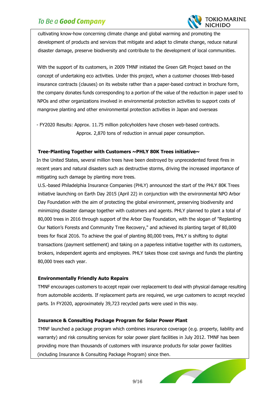

cultivating know-how concerning climate change and global warming and promoting the development of products and services that mitigate and adapt to climate change, reduce natural disaster damage, preserve biodiversity and contribute to the development of local communities.

 $\overline{a}$ 

With the support of its customers, in 2009 TMNF initiated the Green Gift Project based on the concept of undertaking eco activities. Under this project, when a customer chooses Web-based insurance contracts (clauses) on its website rather than a paper-based contract in brochure form, the company donates funds corresponding to a portion of the value of the reduction in paper used to NPOs and other organizations involved in environmental protection activities to support costs of mangrove planting and other environmental protection activities in Japan and overseas

- FY2020 Results: Approx. 11.75 million policyholders have chosen web-based contracts. Approx. 2,870 tons of reduction in annual paper consumption.

#### **Tree-Planting Together with Customers ~PHLY 80K Trees initiative~**

In the United States, several million trees have been destroyed by unprecedented forest fires in recent years and natural disasters such as destructive storms, driving the increased importance of mitigating such damage by planting more trees.

U.S.-based Philadelphia Insurance Companies (PHLY) announced the start of the PHLY 80K Trees initiative launching on Earth Day 2015 (April 22) in conjunction with the environmental NPO Arbor Day Foundation with the aim of protecting the global environment, preserving biodiversity and minimizing disaster damage together with customers and agents. PHLY planned to plant a total of 80,000 trees in 2016 through support of the Arbor Day Foundation, with the slogan of "Replanting Our Nation's Forests and Community Tree Recovery," and achieved its planting target of 80,000 trees for fiscal 2016. To achieve the goal of planting 80,000 trees, PHLY is shifting to digital transactions (payment settlement) and taking on a paperless initiative together with its customers, brokers, independent agents and employees. PHLY takes those cost savings and funds the planting 80,000 trees each year.

#### **Environmentally Friendly Auto Repairs**

TMNF encourages customers to accept repair over replacement to deal with physical damage resulting from automobile accidents. If replacement parts are required, we urge customers to accept recycled parts. In FY2020, approximately 39,723 recycled parts were used in this way.

#### **Insurance & Consulting Package Program for Solar Power Plant**

TMNF launched a package program which combines insurance coverage (e.g. property, liability and warranty) and risk consulting services for solar power plant facilities in July 2012. TMNF has been providing more than thousands of customers with insurance products for solar power facilities (including Insurance & Consulting Package Program) since then.

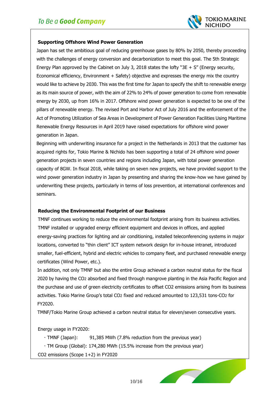

#### **Supporting Offshore Wind Power Generation**

 $\overline{a}$ 

Japan has set the ambitious goal of reducing greenhouse gases by 80% by 2050, thereby proceeding with the challenges of energy conversion and decarbonization to meet this goal. The 5th Strategic Energy Plan approved by the Cabinet on July 3, 2018 states the lofty "3E + S" (Energy security, Economical efficiency, Environment + Safety) objective and expresses the energy mix the country would like to achieve by 2030. This was the first time for Japan to specify the shift to renewable energy as its main source of power, with the aim of 22% to 24% of power generation to come from renewable energy by 2030, up from 16% in 2017. Offshore wind power generation is expected to be one of the pillars of renewable energy. The revised Port and Harbor Act of July 2016 and the enforcement of the Act of Promoting Utilization of Sea Areas in Development of Power Generation Facilities Using Maritime Renewable Energy Resources in April 2019 have raised expectations for offshore wind power generation in Japan.

Beginning with underwriting insurance for a project in the Netherlands in 2013 that the customer has acquired rights for, Tokio Marine & Nichido has been supporting a total of 24 offshore wind power generation projects in seven countries and regions including Japan, with total power generation capacity of 8GW. In fiscal 2018, while taking on seven new projects, we have provided support to the wind power generation industry in Japan by presenting and sharing the know-how we have gained by underwriting these projects, particularly in terms of loss prevention, at international conferences and seminars.

#### **Reducing the Environmental Footprint of our Business**

TMNF continues working to reduce the environmental footprint arising from its business activities. TMNF installed or upgraded energy efficient equipment and devices in offices, and applied energy-saving practices for lighting and air conditioning, installed teleconferencing systems in major locations, converted to "thin client" ICT system network design for in-house intranet, introduced smaller, fuel-efficient, hybrid and electric vehicles to company fleet, and purchased renewable energy certificates (Wind Power, etc.).

In addition, not only TMNF but also the entire Group achieved a carbon neutral status for the fiscal 2020 by having the CO2 absorbed and fixed through mangrove planting in the Asia Pacific Region and the purchase and use of green electricity certificates to offset CO2 emissions arising from its business activities. Tokio Marine Group's total CO2 fixed and reduced amounted to 123,531 tons-CO2 for FY2020.

TMNF/Tokio Marine Group achieved a carbon neutral status for eleven/seven consecutive years.

Energy usage in FY2020:

- ・TMNF (Japan): 91,385 MWh (7.8% reduction from the previous year)
- ・TM Group (Global): 174,280 MWh (15.5% increase from the previous year)

CO2 emissions (Scope 1+2) in FY2020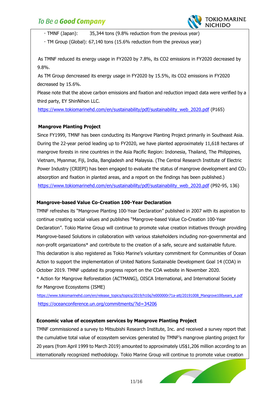

・TMNF (Japan): 35,344 tons (9.8% reduction from the previous year)

 $\overline{a}$ 

・TM Group (Global): 67,140 tons (15.6% reduction from the previous year)

As TMNF reduced its energy usage in FY2020 by 7.8%, its CO2 emissions in FY2020 decreased by 9.8%.

 As TM Group dencreased its energy usage in FY2020 by 15.5%, its CO2 emissions in FY2020 decreased by 15.6%.

Please note that the above carbon emissions and fixation and reduction impact data were verified by a third party, EY ShinNihon LLC.

[https://www.tokiomarinehd.com/en/sustainability/pdf/sustainability\\_web\\_2020.pdf](https://www.tokiomarinehd.com/en/sustainability/pdf/sustainability_web_2020.pdf) (P165)

#### **Mangrove Planting Project**

Since FY1999, TMNF has been conducting its Mangrove Planting Project primarily in Southeast Asia. During the 22-year period leading up to FY2020, we have planted approximately 11,618 hectares of mangrove forests in nine countries in the Asia Pacific Region: Indonesia, Thailand, The Philippines, Vietnam, Myanmar, Fiji, India, Bangladesh and Malaysia. (The Central Research Institute of Electric Power Industry (CRIEPI) has been engaged to evaluate the status of mangrove development and  $CO<sub>2</sub>$ absorption and fixation in planted areas, and a report on the findings has been published.) [https://www.tokiomarinehd.com/en/sustainability/pdf/sustainability\\_web\\_2020.pdf](https://www.tokiomarinehd.com/en/sustainability/pdf/sustainability_web_2020.pdf) (P92-95, 136)

#### **Mangrove-based Value Co-Creation 100-Year Declaration**

TMNF refreshes its "Mangrove Planting 100-Year Declaration" published in 2007 with its aspiration to continue creating social values and publishes "Mangrove-based Value Co-Creation 100-Year Declaration". Tokio Marine Group will continue to promote value creation initiatives through providing Mangrove-based Solutions in collaboration with various stakeholders including non-governmental and non-profit organizations\* and contribute to the creation of a safe, secure and sustainable future. This declaration is also registered as Tokio Marine's voluntary commitment for Communities of Ocean Action to support the implementation of United Nations Sustainable Development Goal 14 (COA) in October 2019. TMNF updated its progress report on the COA website in November 2020. \* Action for Mangrove Reforestation (ACTMANG), OISCA International, and International Society for Mangrove Ecosystems (ISME)

[https://www.tokiomarinehd.com/en/release\\_topics/topics/2019/h10q7e000000r71a-att/20191008\\_Mangrove100years\\_e.pdf](https://www.tokiomarinehd.com/en/release_topics/topics/2019/h10q7e000000r71a-att/20191008_Mangrove100years_e.pdf) <https://oceanconference.un.org/commitments/?id=34206>

#### **Economic value of ecosystem services by Mangrove Planting Project**

TMNF commissioned a survey to Mitsubishi Research Institute, Inc. and received a survey report that the cumulative total value of ecosystem services generated by TMNF's mangrove planting project for 20 years (from April 1999 to March 2019) amounted to approximately US\$1,206 million according to an internationally recognized methodology. Tokio Marine Group will continue to promote value creation

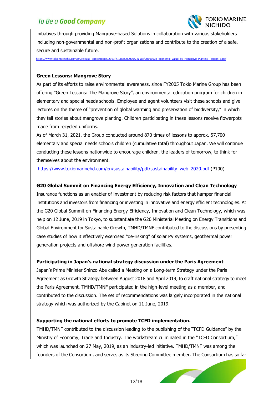

initiatives through providing Mangrove-based Solutions in collaboration with various stakeholders including non-governmental and non-profit organizations and contribute to the creation of a safe, secure and sustainable future.

[https://www.tokiomarinehd.com/en/release\\_topics/topics/2019/h10q7e000000r72z-att/20191008\\_Economic\\_value\\_by\\_Mangrove\\_Planting\\_Project\\_e.pdf](https://www.tokiomarinehd.com/en/release_topics/topics/2019/h10q7e000000r72z-att/20191008_Economic_value_by_Mangrove_Planting_Project_e.pdf)

 $\overline{a}$ 

#### **Green Lessons: Mangrove Story**

As part of its efforts to raise environmental awareness, since FY2005 Tokio Marine Group has been offering "Green Lessons: The Mangrove Story", an environmental education program for children in elementary and special needs schools. Employee and agent volunteers visit these schools and give lectures on the theme of "prevention of global warming and preservation of biodiversity," in which they tell stories about mangrove planting. Children participating in these lessons receive flowerpots made from recycled uniforms.

As of March 31, 2021, the Group conducted around 870 times of lessons to approx. 57,700 elementary and special needs schools children (cumulative total) throughout Japan. We will continue conducting these lessons nationwide to encourage children, the leaders of tomorrow, to think for themselves about the environment.

[https://www.tokiomarinehd.com/en/sustainability/pdf/sustainability\\_web\\_2020.pdf](https://www.tokiomarinehd.com/en/sustainability/pdf/sustainability_web_2020.pdf) (P100)

#### **G20 Global Summit on Financing Energy Efficiency, Innovation and Clean Technology**

Insurance functions as an enabler of investment by reducing risk factors that hamper financial institutions and investors from financing or investing in innovative and energy efficient technologies. At the G20 Global Summit on Financing Energy Efficiency, Innovation and Clean Technology, which was help on 12 June, 2019 in Tokyo, to substantiate the G20 Ministerial Meeting on Energy Transitions and Global Environment for Sustainable Growth, TMHD/TMNF contributed to the discussions by presenting case studies of how it effectively exercised "de-risking" of solar PV systems, geothermal power generation projects and offshore wind power generation facilities.

#### **Participating in Japan's national strategy discussion under the Paris Agreement**

Japan's Prime Minister Shinzo Abe called a Meeting on a Long-term Strategy under the Paris Agreement as Growth Strategy between August 2018 and April 2019, to craft national strategy to meet the Paris Agreement. TMHD/TMNF participated in the high-level meeting as a member, and contributed to the discussion. The set of recommendations was largely incorporated in the national strategy which was authorized by the Cabinet on 11 June, 2019.

#### **Supporting the national efforts to promote TCFD implementation.**

TMHD/TMNF contributed to the discussion leading to the publishing of the "TCFD Guidance" by the Ministry of Economy, Trade and Industry. The workstream culminated in the "TCFD Consortium," which was launched on 27 May, 2019, as an industry-led initiative. TMHD/TMNF was among the founders of the Consortium, and serves as its Steering Committee member. The Consortium has so far

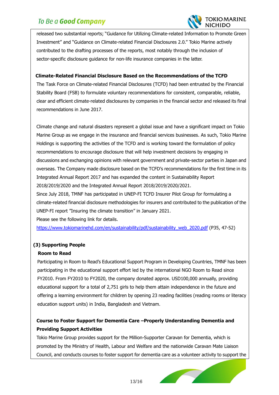

released two substantial reports; "Guidance for Utilizing Climate-related Information to Promote Green Investment" and "Guidance on Climate-related Financial Disclosures 2.0." Tokio Marine actively contributed to the drafting processes of the reports, most notably through the inclusion of sector-specific disclosure guidance for non-life insurance companies in the latter.

#### **Climate-Related Financial Disclosure Based on the Recommendations of the TCFD**

 $\overline{a}$ 

The Task Force on Climate-related Financial Disclosures (TCFD) had been entrusted by the Financial Stability Board (FSB) to formulate voluntary recommendations for consistent, comparable, reliable, clear and efficient climate-related disclosures by companies in the financial sector and released its final recommendations in June 2017.

Climate change and natural disasters represent a global issue and have a significant impact on Tokio Marine Group as we engage in the insurance and financial services businesses. As such, Tokio Marine Holdings is supporting the activities of the TCFD and is working toward the formulation of policy recommendations to encourage disclosure that will help investment decisions by engaging in discussions and exchanging opinions with relevant government and private-sector parties in Japan and overseas. The Company made disclosure based on the TCFD's recommendations for the first time in its Integrated Annual Report 2017 and has expanded the content in Sustainability Report 2018/2019/2020 and the Integrated Annual Report 2018/2019/2020/2021. Since July 2018, TMNF has participated in UNEP-FI TCFD Insurer Pilot Group for formulating a climate-related financial disclosure methodologies for insurers and contributed to the publication of the UNEP-FI report "Insuring the climate transition" in January 2021.

Please see the following link for details.

[https://www.tokiomarinehd.com/en/sustainability/pdf/sustainability\\_web\\_2020.pdf](https://www.tokiomarinehd.com/en/sustainability/pdf/sustainability_web_2020.pdf) (P35, 47-52)

#### **(3) Supporting People**

#### **Room to Read**

Participating in Room to Read's Educational Support Program in Developing Countries, TMNF has been participating in the educational support effort led by the international NGO Room to Read since FY2010. From FY2010 to FY2020, the company donated approx. USD100,000 annually, providing educational support for a total of 2,751 girls to help them attain independence in the future and offering a learning environment for children by opening 23 reading facilities (reading rooms or literacy education support units) in India, Bangladesh and Vietnam.

### **Course to Foster Support for Dementia Care –Properly Understanding Dementia and Providing Support Activities**

Tokio Marine Group provides support for the Million-Supporter Caravan for Dementia, which is promoted by the Ministry of Health, Labour and Welfare and the nationwide Caravan Mate Liaison Council, and conducts courses to foster support for dementia care as a volunteer activity to support the

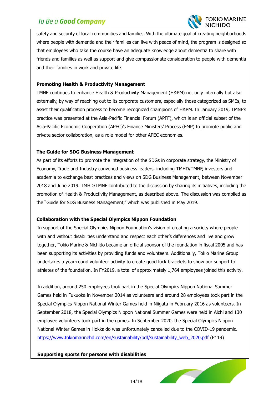

safety and security of local communities and families. With the ultimate goal of creating neighborhoods where people with dementia and their families can live with peace of mind, the program is designed so that employees who take the course have an adequate knowledge about dementia to share with friends and families as well as support and give compassionate consideration to people with dementia and their families in work and private life.

#### **Promoting Health & Productivity Management**

 $\overline{a}$ 

TMNF continues to enhance Health & Productivity Management (H&PM) not only internally but also externally, by way of reaching out to its corporate customers, especially those categorized as SMEs, to assist their qualification process to become recognized champions of H&PM. In January 2019, TMNF's practice was presented at the Asia-Pacific Financial Forum (APFF), which is an official subset of the Asia-Pacific Economic Cooperation (APEC)'s Finance Ministers' Process (FMP) to promote public and private sector collaboration, as a role model for other APEC economies.

#### **The Guide for SDG Business Management**

As part of its efforts to promote the integration of the SDGs in corporate strategy, the Ministry of Economy, Trade and Industry convened business leaders, including TMHD/TMNF, investors and academia to exchange best practices and views on SDG Business Management, between November 2018 and June 2019. TMHD/TMNF contributed to the discussion by sharing its initiatives, including the promotion of Health & Productivity Management, as described above. The discussion was compiled as the "Guide for SDG Business Management," which was published in May 2019.

#### **Collaboration with the Special Olympics Nippon Foundation**

In support of the Special Olympics Nippon Foundation's vision of creating a society where people with and without disabilities understand and respect each other's differences and live and grow together, Tokio Marine & Nichido became an official sponsor of the foundation in fiscal 2005 and has been supporting its activities by providing funds and volunteers. Additionally, Tokio Marine Group undertakes a year-round volunteer activity to create good luck bracelets to show our support to athletes of the foundation. In FY2019, a total of approximately 1,764 employees joined this activity.

In addition, around 250 employees took part in the Special Olympics Nippon National Summer Games held in Fukuoka in November 2014 as volunteers and around 28 employees took part in the Special Olympics Nippon National Winter Games held in Niigata in February 2016 as volunteers. In September 2018, the Special Olympics Nippon National Summer Games were held in Aichi and 130 employee volunteers took part in the games. In September 2020, the Special Olympics Nippon National Winter Games in Hokkaido was unfortunately cancelled due to the COVID-19 pandemic. [https://www.tokiomarinehd.com/en/sustainability/pdf/sustainability\\_web\\_2020.pdf](https://www.tokiomarinehd.com/en/sustainability/pdf/sustainability_web_2020.pdf) (P119)

#### **Supporting sports for persons with disabilities**

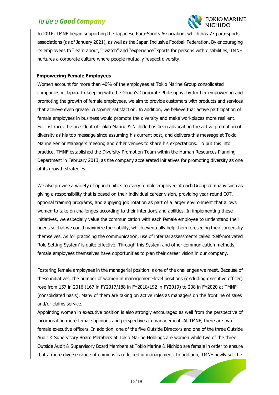

In 2016, TMNF began supporting the Japanese Para-Sports Association, which has 77 para-sports associations (as of January 2021), as well as the Japan Inclusive Football Federation. By encouraging its employees to "learn about," "watch" and "experience" sports for persons with disabilities, TMNF nurtures a corporate culture where people mutually respect diversity.

 $\overline{a}$ 

#### **Empowering Female Employees**

Women account for more than 40% of the employees at Tokio Marine Group consolidated companies in Japan. In keeping with the Group's Corporate Philosophy, by further empowering and promoting the growth of female employees, we aim to provide customers with products and services that achieve even greater customer satisfaction. In addition, we believe that active participation of female employees in business would promote the diversity and make workplaces more resilient. For instance, the president of Tokio Marine & Nichido has been advocating the active promotion of diversity as his top message since assuming his current post, and delivers this message at Tokio Marine Senior Managers meeting and other venues to share his expectations. To put this into practice, TMNF established the Diversity Promotion Team within the Human Resources Planning Department in February 2013, as the company accelerated initiatives for promoting diversity as one of its growth strategies.

We also provide a variety of opportunities to every female employee at each Group company such as giving a responsibility that is based on their individual career vision, providing year-round OJT, optional training programs, and applying job rotation as part of a larger environment that allows women to take on challenges according to their intentions and abilities. In implementing these initiatives, we especially value the communication with each female employee to understand their needs so that we could maximize their ability, which eventually help them foreseeing their careers by themselves. As for practicing the communication, use of internal assessments called 'Self-motivated Role Setting System' is quite effective. Through this System and other communication methods, female employees themselves have opportunities to plan their career vision in our company.

Fostering female employees in the managerial position is one of the challenges we meet. Because of these initiatives, the number of women in management-level positions (excluding executive officer) rose from 157 in 2016 (167 in FY2017/188 in FY2018/192 in FY2019) to 208 in FY2020 at TMNF (consolidated basis). Many of them are taking on active roles as managers on the frontline of sales and/or claims service.

Appointing women in executive position is also strongly encouraged as well from the perspective of incorporating more female opinions and perspectives in management. At TMNF, there are two female executive officers. In addition, one of the five Outside Directors and one of the three Outside Audit & Supervisory Board Members at Tokio Marine Holdings are women while two of the three Outside Audit & Supervisory Board Members at Tokio Marine & Nichido are female in order to ensure that a more diverse range of opinions is reflected in management. In addition, TMNF newly set the